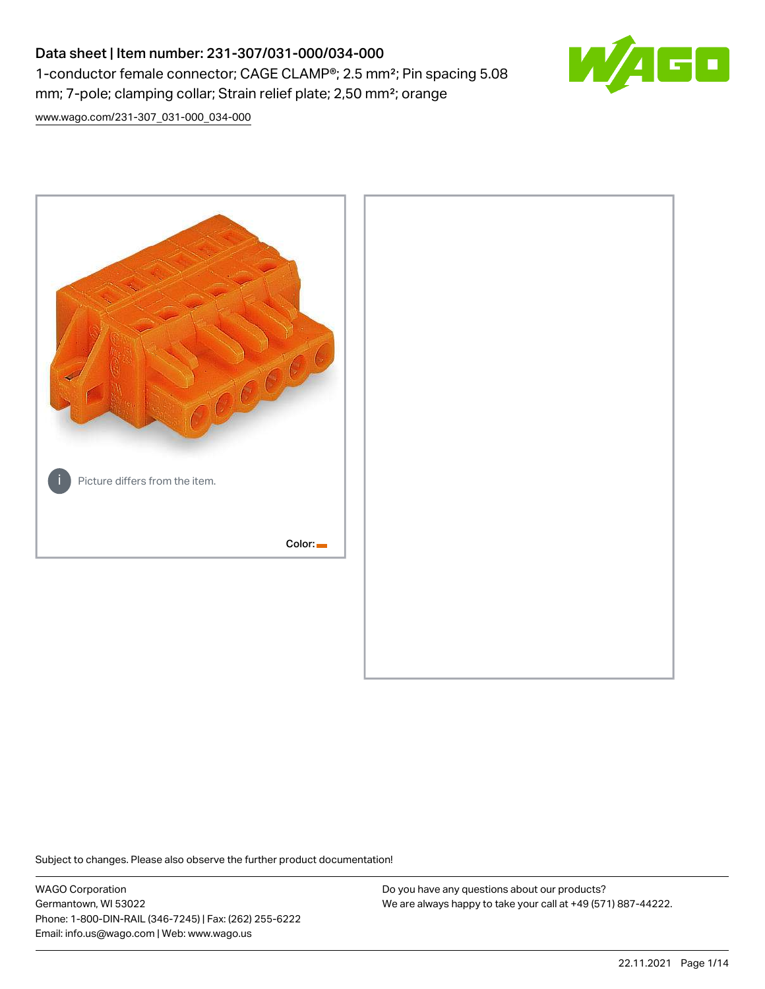# Data sheet | Item number: 231-307/031-000/034-000 1-conductor female connector; CAGE CLAMP®; 2.5 mm²; Pin spacing 5.08 mm; 7-pole; clamping collar; Strain relief plate; 2,50 mm²; orange



[www.wago.com/231-307\\_031-000\\_034-000](http://www.wago.com/231-307_031-000_034-000)



Subject to changes. Please also observe the further product documentation!

WAGO Corporation Germantown, WI 53022 Phone: 1-800-DIN-RAIL (346-7245) | Fax: (262) 255-6222 Email: info.us@wago.com | Web: www.wago.us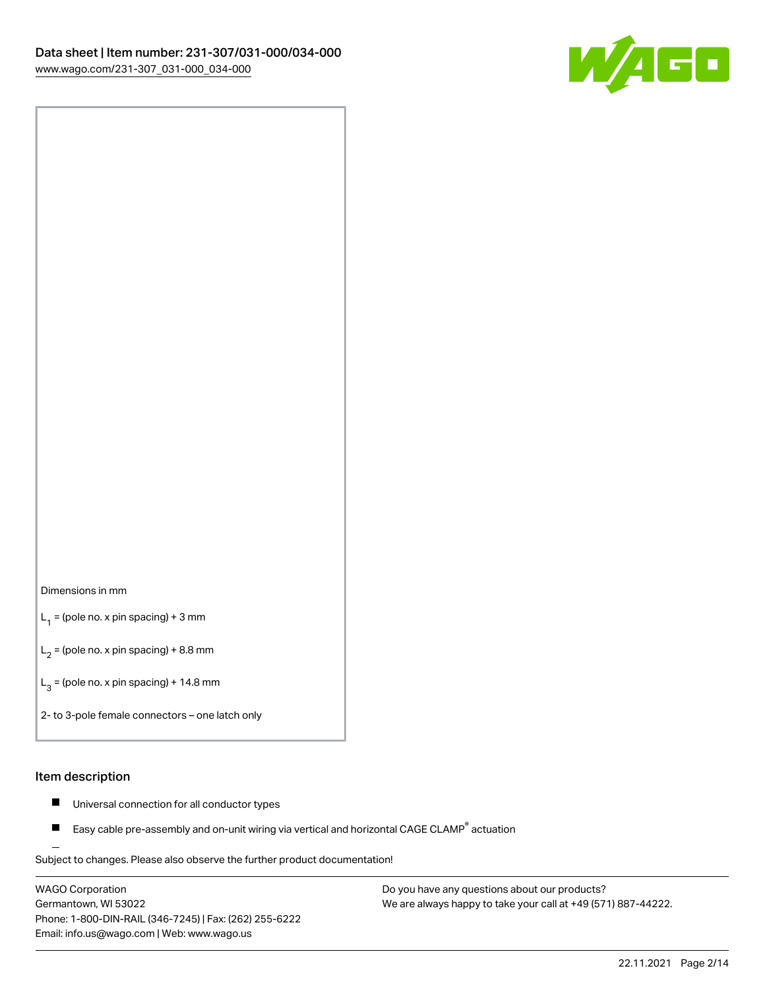

#### Dimensions in mm

 $L_1$  = (pole no. x pin spacing) + 3 mm

 $L_2$  = (pole no. x pin spacing) + 8.8 mm

 $L_3$  = (pole no. x pin spacing) + 14.8 mm

2- to 3-pole female connectors – one latch only

#### Item description

- Universal connection for all conductor types  $\blacksquare$
- Easy cable pre-assembly and on-unit wiring via vertical and horizontal CAGE CLAMP<sup>®</sup> actuation П

.<br>Subject to changes. Please also observe the further product documentation!

WAGO Corporation Germantown, WI 53022 Phone: 1-800-DIN-RAIL (346-7245) | Fax: (262) 255-6222 Email: info.us@wago.com | Web: www.wago.us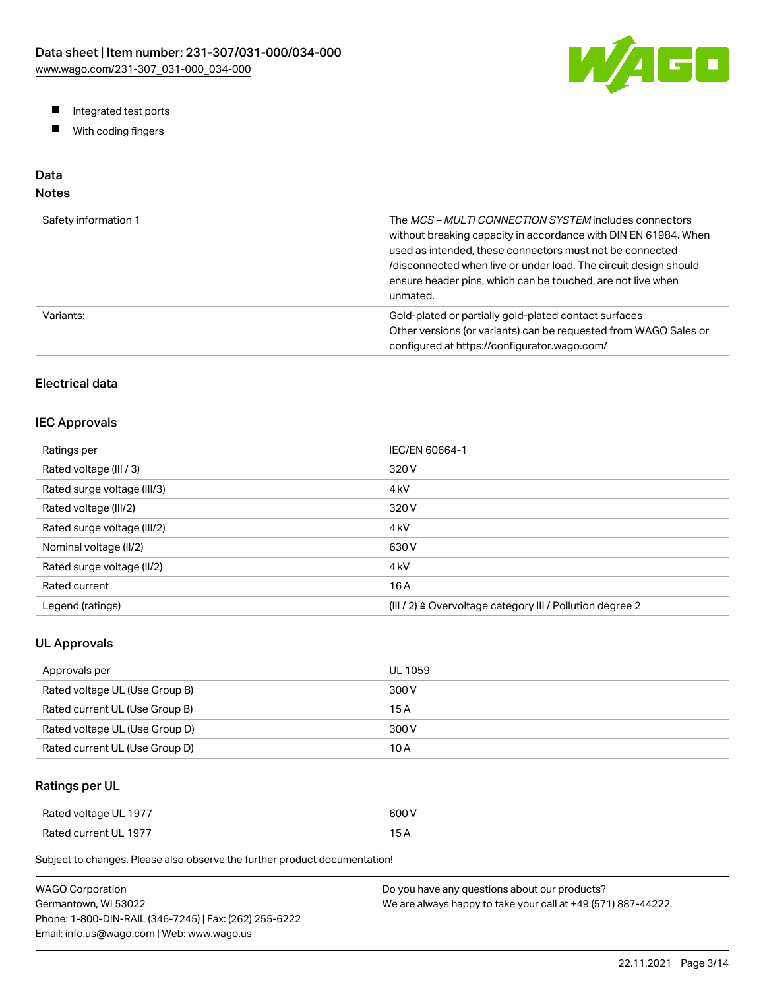

- Integrated test ports
- $\blacksquare$ With coding fingers

# Data

# Notes

| Safety information 1 | The MCS-MULTI CONNECTION SYSTEM includes connectors<br>without breaking capacity in accordance with DIN EN 61984. When<br>used as intended, these connectors must not be connected<br>/disconnected when live or under load. The circuit design should<br>ensure header pins, which can be touched, are not live when<br>unmated. |
|----------------------|-----------------------------------------------------------------------------------------------------------------------------------------------------------------------------------------------------------------------------------------------------------------------------------------------------------------------------------|
| Variants:            | Gold-plated or partially gold-plated contact surfaces<br>Other versions (or variants) can be requested from WAGO Sales or<br>configured at https://configurator.wago.com/                                                                                                                                                         |

# Electrical data

# IEC Approvals

| Ratings per                 | IEC/EN 60664-1                                                        |
|-----------------------------|-----------------------------------------------------------------------|
| Rated voltage (III / 3)     | 320 V                                                                 |
| Rated surge voltage (III/3) | 4 <sub>kV</sub>                                                       |
| Rated voltage (III/2)       | 320 V                                                                 |
| Rated surge voltage (III/2) | 4 <sub>k</sub> V                                                      |
| Nominal voltage (II/2)      | 630 V                                                                 |
| Rated surge voltage (II/2)  | 4 <sub>k</sub> V                                                      |
| Rated current               | 16 A                                                                  |
| Legend (ratings)            | $(III / 2)$ $\triangle$ Overvoltage category III / Pollution degree 2 |

# UL Approvals

| Approvals per                  | <b>UL 1059</b> |
|--------------------------------|----------------|
| Rated voltage UL (Use Group B) | 300 V          |
| Rated current UL (Use Group B) | 15 A           |
| Rated voltage UL (Use Group D) | 300 V          |
| Rated current UL (Use Group D) | 10 A           |

# Ratings per UL

| Rated voltage UL 1977 | 600 V  |
|-----------------------|--------|
| Rated current UL 1977 | $\sim$ |

Subject to changes. Please also observe the further product documentation!

| <b>WAGO Corporation</b>                                | Do you have any questions about our products?                 |
|--------------------------------------------------------|---------------------------------------------------------------|
| Germantown, WI 53022                                   | We are always happy to take your call at +49 (571) 887-44222. |
| Phone: 1-800-DIN-RAIL (346-7245)   Fax: (262) 255-6222 |                                                               |
| Email: info.us@wago.com   Web: www.wago.us             |                                                               |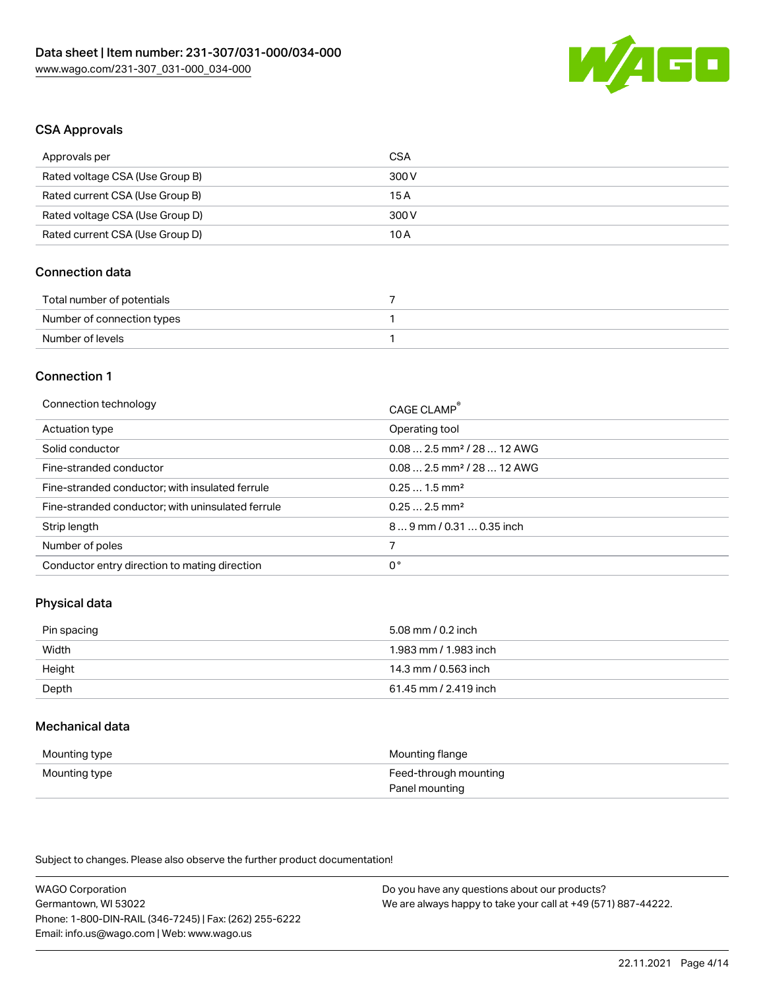

#### CSA Approvals

| Approvals per                   | CSA   |
|---------------------------------|-------|
| Rated voltage CSA (Use Group B) | 300 V |
| Rated current CSA (Use Group B) | 15 A  |
| Rated voltage CSA (Use Group D) | 300 V |
| Rated current CSA (Use Group D) | 10 A  |

# Connection data

| Total number of potentials |  |
|----------------------------|--|
| Number of connection types |  |
| Number of levels           |  |

#### Connection 1

| Connection technology                             | CAGE CLAMP <sup>®</sup>                 |
|---------------------------------------------------|-----------------------------------------|
| Actuation type                                    | Operating tool                          |
| Solid conductor                                   | $0.08$ 2.5 mm <sup>2</sup> / 28  12 AWG |
| Fine-stranded conductor                           | $0.082.5$ mm <sup>2</sup> / 28  12 AWG  |
| Fine-stranded conductor; with insulated ferrule   | $0.251.5$ mm <sup>2</sup>               |
| Fine-stranded conductor; with uninsulated ferrule | $0.252.5$ mm <sup>2</sup>               |
| Strip length                                      | $89$ mm $/ 0.310.35$ inch               |
| Number of poles                                   |                                         |
| Conductor entry direction to mating direction     | 0°                                      |
|                                                   |                                         |

# Physical data

| Pin spacing | 5.08 mm / 0.2 inch    |
|-------------|-----------------------|
| Width       | 1.983 mm / 1.983 inch |
| Height      | 14.3 mm / 0.563 inch  |
| Depth       | 61.45 mm / 2.419 inch |

# Mechanical data

| Mounting type | Mounting flange       |
|---------------|-----------------------|
| Mounting type | Feed-through mounting |
|               | Panel mounting        |

Subject to changes. Please also observe the further product documentation!

| <b>WAGO Corporation</b>                                | Do you have any questions about our products?                 |
|--------------------------------------------------------|---------------------------------------------------------------|
| Germantown, WI 53022                                   | We are always happy to take your call at +49 (571) 887-44222. |
| Phone: 1-800-DIN-RAIL (346-7245)   Fax: (262) 255-6222 |                                                               |
| Email: info.us@wago.com   Web: www.wago.us             |                                                               |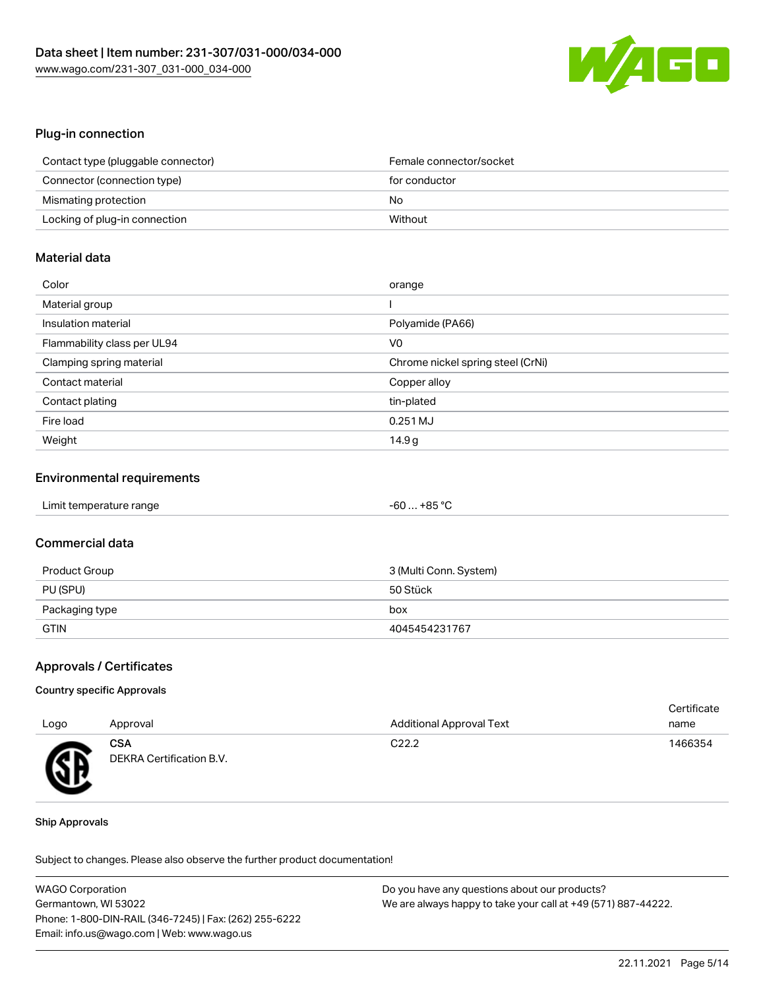

# Plug-in connection

| Contact type (pluggable connector) | Female connector/socket |
|------------------------------------|-------------------------|
| Connector (connection type)        | for conductor           |
| Mismating protection               | No                      |
| Locking of plug-in connection      | Without                 |

# Material data

| Color                       | orange                            |
|-----------------------------|-----------------------------------|
| Material group              |                                   |
| Insulation material         | Polyamide (PA66)                  |
| Flammability class per UL94 | V <sub>0</sub>                    |
| Clamping spring material    | Chrome nickel spring steel (CrNi) |
| Contact material            | Copper alloy                      |
| Contact plating             | tin-plated                        |
| Fire load                   | $0.251$ MJ                        |
| Weight                      | 14.9g                             |

#### Environmental requirements

| Limit temperature range | $-60+85 °C$ |  |
|-------------------------|-------------|--|
|-------------------------|-------------|--|

# Commercial data

| Product Group  | 3 (Multi Conn. System) |
|----------------|------------------------|
| PU (SPU)       | 50 Stück               |
| Packaging type | box                    |
| <b>GTIN</b>    | 4045454231767          |

### Approvals / Certificates

#### Country specific Approvals

|      |                                        |                          | Certificate |  |
|------|----------------------------------------|--------------------------|-------------|--|
| Logo | Approval                               | Additional Approval Text | name        |  |
| Æ    | <b>CSA</b><br>DEKRA Certification B.V. | C <sub>22.2</sub>        | 1466354     |  |

#### Ship Approvals

Subject to changes. Please also observe the further product documentation!

| <b>WAGO Corporation</b>                                | Do you have any questions about our products?                 |
|--------------------------------------------------------|---------------------------------------------------------------|
| Germantown, WI 53022                                   | We are always happy to take your call at +49 (571) 887-44222. |
| Phone: 1-800-DIN-RAIL (346-7245)   Fax: (262) 255-6222 |                                                               |
| Email: info.us@wago.com   Web: www.wago.us             |                                                               |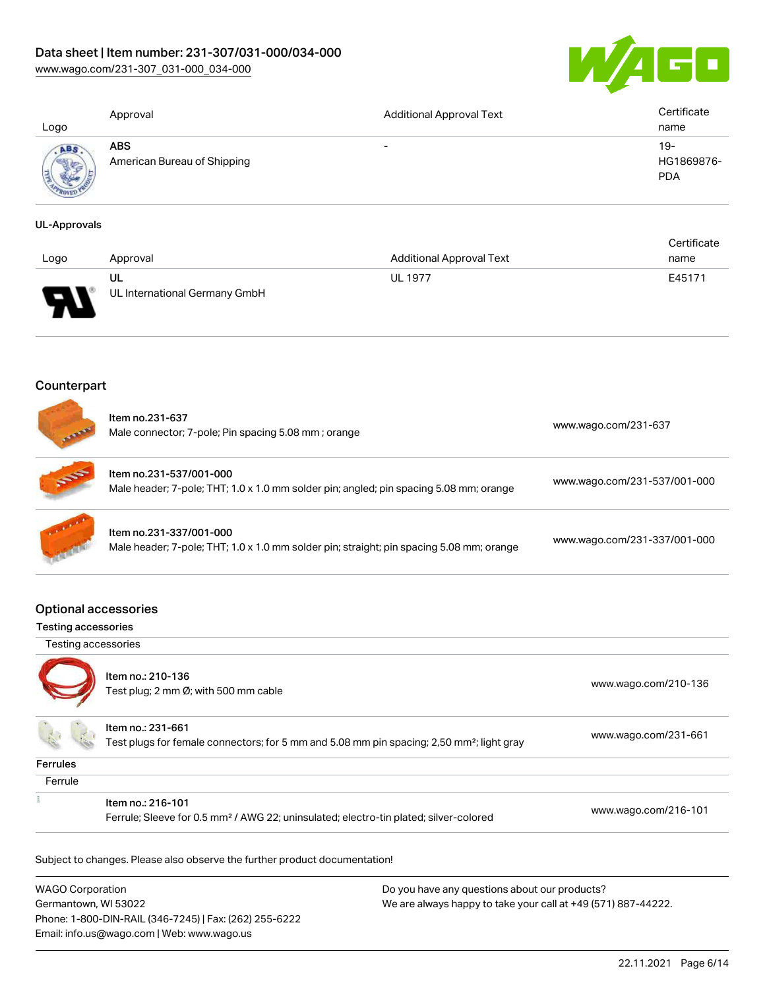[www.wago.com/231-307\\_031-000\\_034-000](http://www.wago.com/231-307_031-000_034-000)



| Logo | Approval                                  | <b>Additional Approval Text</b> | Certificate<br>name             |
|------|-------------------------------------------|---------------------------------|---------------------------------|
|      | <b>ABS</b><br>American Bureau of Shipping | $\overline{\phantom{0}}$        | 19-<br>HG1869876-<br><b>PDA</b> |

#### UL-Approvals

| Logo | Approval                            | <b>Additional Approval Text</b> | Certificate<br>name |
|------|-------------------------------------|---------------------------------|---------------------|
| ਚ    | UL<br>UL International Germany GmbH | <b>UL 1977</b>                  | E45171              |

# Counterpart

s wa

|                                                           | Item no.231-637<br>Male connector; 7-pole; Pin spacing 5.08 mm; orange                                                     | www.wago.com/231-637         |
|-----------------------------------------------------------|----------------------------------------------------------------------------------------------------------------------------|------------------------------|
|                                                           | Item no.231-537/001-000<br>Male header; 7-pole; THT; 1.0 x 1.0 mm solder pin; angled; pin spacing 5.08 mm; orange          | www.wago.com/231-537/001-000 |
|                                                           | Item no.231-337/001-000<br>Male header; 7-pole; THT; 1.0 x 1.0 mm solder pin; straight; pin spacing 5.08 mm; orange        | www.wago.com/231-337/001-000 |
| <b>Optional accessories</b><br><b>Testing accessories</b> |                                                                                                                            |                              |
| Testing accessories                                       |                                                                                                                            |                              |
|                                                           | Item no.: 210-136<br>Test plug; 2 mm Ø; with 500 mm cable                                                                  | www.wago.com/210-136         |
|                                                           | Item no.: 231-661<br>Test plugs for female connectors; for 5 mm and 5.08 mm pin spacing; 2,50 mm <sup>2</sup> ; light gray | www.wago.com/231-661         |
| <b>Ferrules</b>                                           |                                                                                                                            |                              |
| Ferrule                                                   |                                                                                                                            |                              |
|                                                           | Item no.: 216-101                                                                                                          | www.wago.com/216-101         |

WAGO Corporation Germantown, WI 53022 Phone: 1-800-DIN-RAIL (346-7245) | Fax: (262) 255-6222 Email: info.us@wago.com | Web: www.wago.us Do you have any questions about our products? We are always happy to take your call at +49 (571) 887-44222.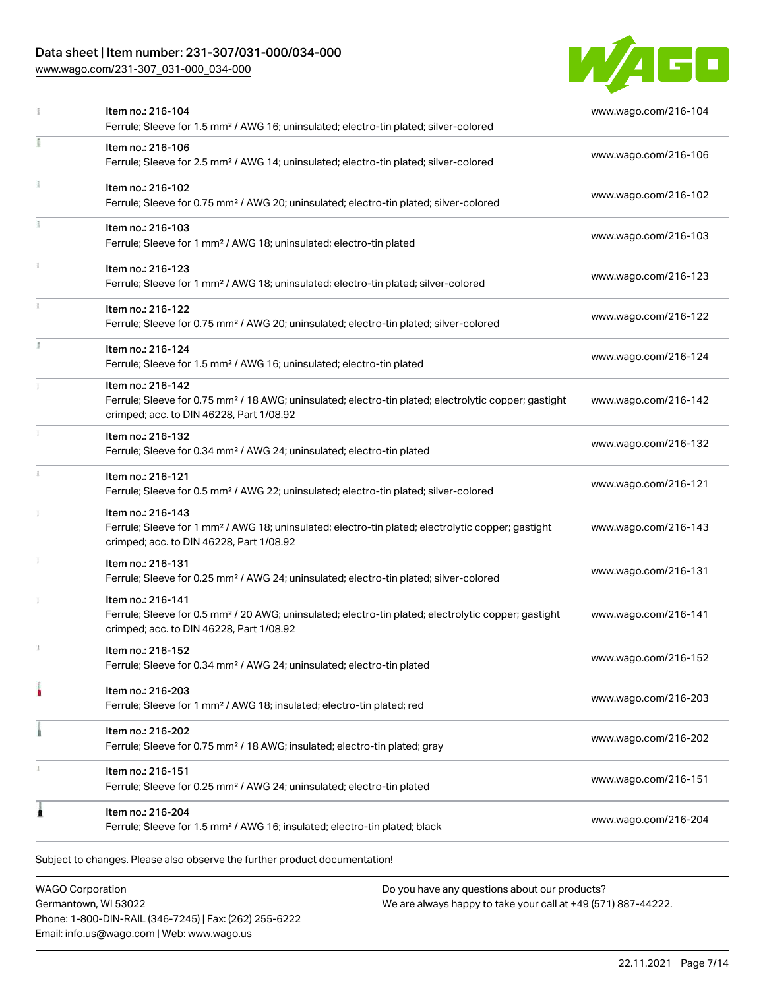[www.wago.com/231-307\\_031-000\\_034-000](http://www.wago.com/231-307_031-000_034-000)



|    | Item no.: 216-104<br>Ferrule; Sleeve for 1.5 mm <sup>2</sup> / AWG 16; uninsulated; electro-tin plated; silver-colored                                                             | www.wago.com/216-104 |
|----|------------------------------------------------------------------------------------------------------------------------------------------------------------------------------------|----------------------|
|    | Item no.: 216-106<br>Ferrule; Sleeve for 2.5 mm <sup>2</sup> / AWG 14; uninsulated; electro-tin plated; silver-colored                                                             | www.wago.com/216-106 |
|    | Item no.: 216-102<br>Ferrule; Sleeve for 0.75 mm <sup>2</sup> / AWG 20; uninsulated; electro-tin plated; silver-colored                                                            | www.wago.com/216-102 |
|    | Item no.: 216-103<br>Ferrule; Sleeve for 1 mm <sup>2</sup> / AWG 18; uninsulated; electro-tin plated                                                                               | www.wago.com/216-103 |
|    | Item no.: 216-123<br>Ferrule; Sleeve for 1 mm <sup>2</sup> / AWG 18; uninsulated; electro-tin plated; silver-colored                                                               | www.wago.com/216-123 |
|    | Item no.: 216-122<br>Ferrule; Sleeve for 0.75 mm <sup>2</sup> / AWG 20; uninsulated; electro-tin plated; silver-colored                                                            | www.wago.com/216-122 |
| I. | Item no.: 216-124<br>Ferrule; Sleeve for 1.5 mm <sup>2</sup> / AWG 16; uninsulated; electro-tin plated                                                                             | www.wago.com/216-124 |
|    | Item no.: 216-142<br>Ferrule; Sleeve for 0.75 mm <sup>2</sup> / 18 AWG; uninsulated; electro-tin plated; electrolytic copper; gastight<br>crimped; acc. to DIN 46228, Part 1/08.92 | www.wago.com/216-142 |
|    | Item no.: 216-132<br>Ferrule; Sleeve for 0.34 mm <sup>2</sup> / AWG 24; uninsulated; electro-tin plated                                                                            | www.wago.com/216-132 |
|    | Item no.: 216-121<br>Ferrule; Sleeve for 0.5 mm <sup>2</sup> / AWG 22; uninsulated; electro-tin plated; silver-colored                                                             | www.wago.com/216-121 |
|    | Item no.: 216-143<br>Ferrule; Sleeve for 1 mm <sup>2</sup> / AWG 18; uninsulated; electro-tin plated; electrolytic copper; gastight<br>crimped; acc. to DIN 46228, Part 1/08.92    | www.wago.com/216-143 |
|    | Item no.: 216-131<br>Ferrule; Sleeve for 0.25 mm <sup>2</sup> / AWG 24; uninsulated; electro-tin plated; silver-colored                                                            | www.wago.com/216-131 |
|    | Item no.: 216-141<br>Ferrule; Sleeve for 0.5 mm <sup>2</sup> / 20 AWG; uninsulated; electro-tin plated; electrolytic copper; gastight<br>crimped; acc. to DIN 46228, Part 1/08.92  | www.wago.com/216-141 |
|    | Item no.: 216-152<br>Ferrule; Sleeve for 0.34 mm <sup>2</sup> / AWG 24; uninsulated; electro-tin plated                                                                            | www.wago.com/216-152 |
|    | Item no.: 216-203<br>Ferrule; Sleeve for 1 mm <sup>2</sup> / AWG 18; insulated; electro-tin plated; red                                                                            | www.wago.com/216-203 |
|    | Item no.: 216-202<br>Ferrule; Sleeve for 0.75 mm <sup>2</sup> / 18 AWG; insulated; electro-tin plated; gray                                                                        | www.wago.com/216-202 |
|    | Item no.: 216-151<br>Ferrule; Sleeve for 0.25 mm <sup>2</sup> / AWG 24; uninsulated; electro-tin plated                                                                            | www.wago.com/216-151 |
| £  | Item no.: 216-204<br>Ferrule; Sleeve for 1.5 mm <sup>2</sup> / AWG 16; insulated; electro-tin plated; black                                                                        | www.wago.com/216-204 |

WAGO Corporation Germantown, WI 53022 Phone: 1-800-DIN-RAIL (346-7245) | Fax: (262) 255-6222 Email: info.us@wago.com | Web: www.wago.us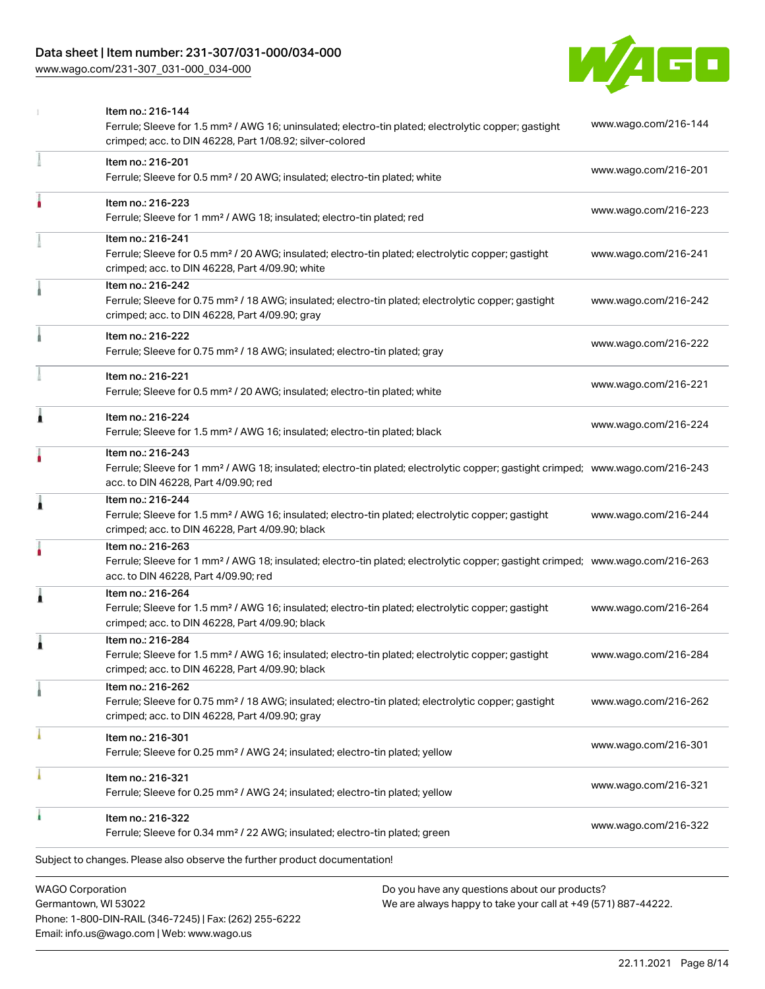[www.wago.com/231-307\\_031-000\\_034-000](http://www.wago.com/231-307_031-000_034-000)



|   | <b>WAGO Corporation</b><br>Do you have any questions about our products?                                                                                                                                |                      |
|---|---------------------------------------------------------------------------------------------------------------------------------------------------------------------------------------------------------|----------------------|
|   | Subject to changes. Please also observe the further product documentation!                                                                                                                              |                      |
|   | Item no.: 216-322<br>Ferrule; Sleeve for 0.34 mm <sup>2</sup> / 22 AWG; insulated; electro-tin plated; green                                                                                            | www.wago.com/216-322 |
|   | Item no.: 216-321<br>Ferrule; Sleeve for 0.25 mm <sup>2</sup> / AWG 24; insulated; electro-tin plated; yellow                                                                                           | www.wago.com/216-321 |
|   | Item no.: 216-301<br>Ferrule; Sleeve for 0.25 mm <sup>2</sup> / AWG 24; insulated; electro-tin plated; yellow                                                                                           | www.wago.com/216-301 |
|   | Item no.: 216-262<br>Ferrule; Sleeve for 0.75 mm <sup>2</sup> / 18 AWG; insulated; electro-tin plated; electrolytic copper; gastight<br>crimped; acc. to DIN 46228, Part 4/09.90; gray                  | www.wago.com/216-262 |
| Â | Item no.: 216-284<br>Ferrule; Sleeve for 1.5 mm <sup>2</sup> / AWG 16; insulated; electro-tin plated; electrolytic copper; gastight<br>crimped; acc. to DIN 46228, Part 4/09.90; black                  | www.wago.com/216-284 |
| 1 | Item no.: 216-264<br>Ferrule; Sleeve for 1.5 mm <sup>2</sup> / AWG 16; insulated; electro-tin plated; electrolytic copper; gastight<br>crimped; acc. to DIN 46228, Part 4/09.90; black                  | www.wago.com/216-264 |
|   | Item no.: 216-263<br>Ferrule; Sleeve for 1 mm <sup>2</sup> / AWG 18; insulated; electro-tin plated; electrolytic copper; gastight crimped; www.wago.com/216-263<br>acc. to DIN 46228, Part 4/09.90; red |                      |
| 1 | Item no.: 216-244<br>Ferrule; Sleeve for 1.5 mm <sup>2</sup> / AWG 16; insulated; electro-tin plated; electrolytic copper; gastight<br>crimped; acc. to DIN 46228, Part 4/09.90; black                  | www.wago.com/216-244 |
|   | Item no.: 216-243<br>Ferrule; Sleeve for 1 mm <sup>2</sup> / AWG 18; insulated; electro-tin plated; electrolytic copper; gastight crimped; www.wago.com/216-243<br>acc. to DIN 46228, Part 4/09.90; red |                      |
| Ă | Item no.: 216-224<br>Ferrule; Sleeve for 1.5 mm <sup>2</sup> / AWG 16; insulated; electro-tin plated; black                                                                                             | www.wago.com/216-224 |
|   | Item no.: 216-221<br>Ferrule; Sleeve for 0.5 mm <sup>2</sup> / 20 AWG; insulated; electro-tin plated; white                                                                                             | www.wago.com/216-221 |
|   | Item no.: 216-222<br>Ferrule; Sleeve for 0.75 mm <sup>2</sup> / 18 AWG; insulated; electro-tin plated; gray                                                                                             | www.wago.com/216-222 |
|   | Item no.: 216-242<br>Ferrule; Sleeve for 0.75 mm <sup>2</sup> / 18 AWG; insulated; electro-tin plated; electrolytic copper; gastight<br>crimped; acc. to DIN 46228, Part 4/09.90; gray                  | www.wago.com/216-242 |
|   | Item no.: 216-241<br>Ferrule; Sleeve for 0.5 mm <sup>2</sup> / 20 AWG; insulated; electro-tin plated; electrolytic copper; gastight<br>crimped; acc. to DIN 46228, Part 4/09.90; white                  | www.wago.com/216-241 |
|   | Item no.: 216-223<br>Ferrule; Sleeve for 1 mm <sup>2</sup> / AWG 18; insulated; electro-tin plated; red                                                                                                 | www.wago.com/216-223 |
|   | Item no.: 216-201<br>Ferrule; Sleeve for 0.5 mm <sup>2</sup> / 20 AWG; insulated; electro-tin plated; white                                                                                             | www.wago.com/216-201 |
|   | Item no.: 216-144<br>Ferrule; Sleeve for 1.5 mm <sup>2</sup> / AWG 16; uninsulated; electro-tin plated; electrolytic copper; gastight<br>crimped; acc. to DIN 46228, Part 1/08.92; silver-colored       | www.wago.com/216-144 |

Germantown, WI 53022 Phone: 1-800-DIN-RAIL (346-7245) | Fax: (262) 255-6222 Email: info.us@wago.com | Web: www.wago.us

We are always happy to take your call at +49 (571) 887-44222.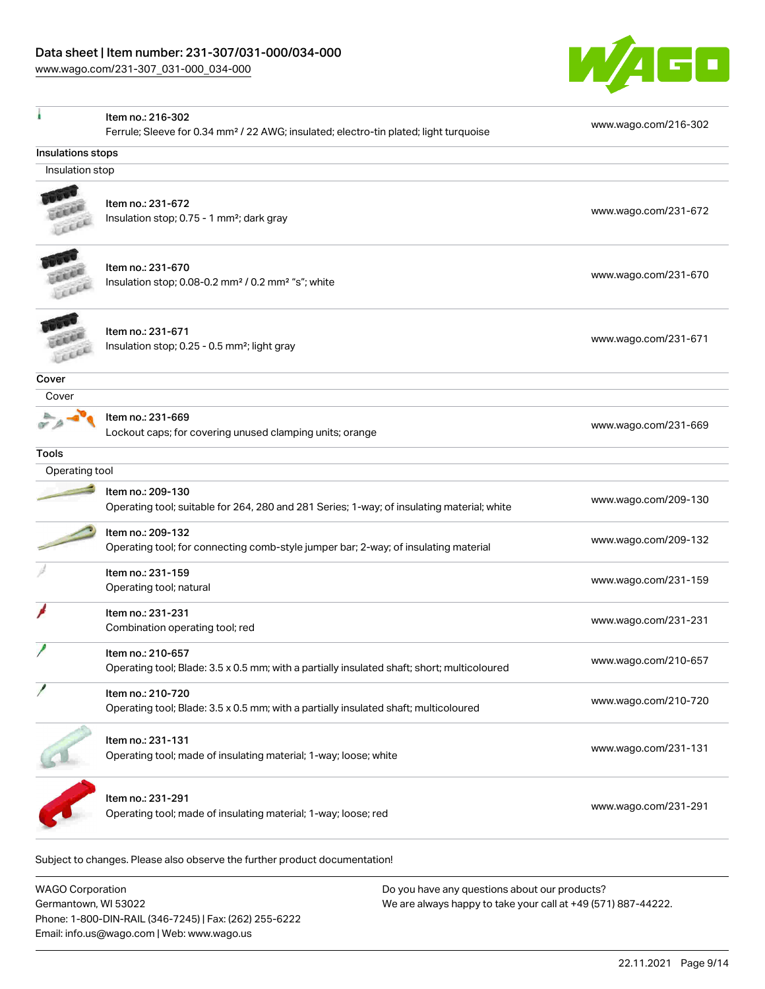Item no.: 216-302

ı



Ferrule; Sleeve for 0.34 mm² / 22 AWG; insulated; electro-tin plated; light turquoise [www.wago.com/216-302](http://www.wago.com/216-302) Insulations stops Insulation stop Item no.: 231-672 **CEAR** Insulation stop; 0.75 - 1 mm²; dark gray [www.wago.com/231-672](http://www.wago.com/231-672)<br>Insulation stop; 0.75 - 1 mm²; dark gray Leer Item no.: 231-670 an an Insulation stop; 0.08-0.2 mm<sup>2</sup>/0.2 mm<sup>2</sup> "s"; white [www.wago.com/231-670](http://www.wago.com/231-670) www.wago.com/231-670 LEEEE Item no.: 231-671 Insulation stop; 0.25 - 0.5 mm²; light gray [www.wago.com/231-671](http://www.wago.com/231-671) www.wago.com/231-671 Leee **Cover**  Cover 坠 Item no.: 231-669 A Lockout caps; for covering unused clamping units; orange [www.wago.com/231-669](http://www.wago.com/231-669) **Tools**  Operating tool Item no.: 209-130 Operating tool; suitable for 264, 280 and 281 Series; 1-way; of insulating material; white [www.wago.com/209-130](http://www.wago.com/209-130) Item no.: 209-132 Operating tool; for connecting comb-style jumper bar; 2-way; of insulating material [www.wago.com/209-132](http://www.wago.com/209-132) Item no.: 231-159 Neth 10. 2011.00<br>Operating tool; natural [www.wago.com/231-159](http://www.wago.com/231-159) Item no.: 231-231 Combination operating tool; red [www.wago.com/231-231](http://www.wago.com/231-231) Item no.: 210-657 Operating tool; Blade: 3.5 x 0.5 mm; with a partially insulated shaft; short; multicoloured [www.wago.com/210-657](http://www.wago.com/210-657) Item no.: 210-720 Operating tool; Blade: 3.5 x 0.5 mm; with a partially insulated shaft; multicoloured [www.wago.com/210-720](http://www.wago.com/210-720) Item no.: 231-131 Operating tool; made of insulating material; 1-way; loose; white [www.wago.com/231-131](http://www.wago.com/231-131) www.wago.com/231-131 Item no.: 231-291

Operating tool; made of insulating material; 1-way; loose; red [www.wago.com/231-291](http://www.wago.com/231-291)

Subject to changes. Please also observe the further product documentation!

WAGO Corporation Germantown, WI 53022 Phone: 1-800-DIN-RAIL (346-7245) | Fax: (262) 255-6222 Email: info.us@wago.com | Web: www.wago.us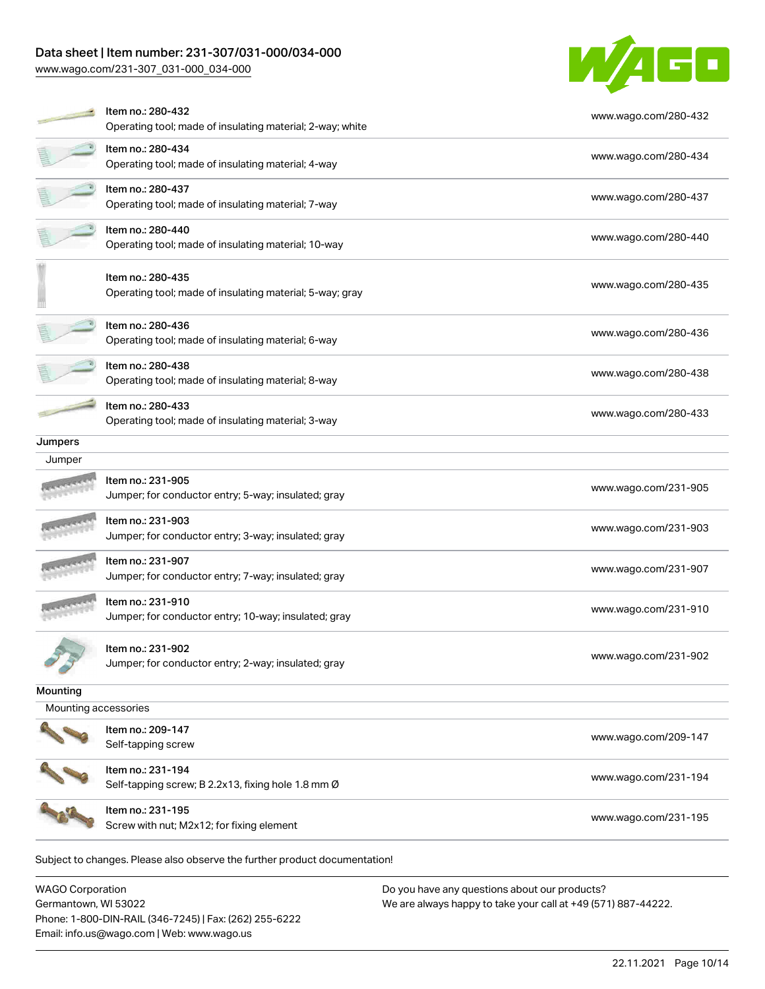[www.wago.com/231-307\\_031-000\\_034-000](http://www.wago.com/231-307_031-000_034-000)



|                      | Item no.: 280-432<br>Operating tool; made of insulating material; 2-way; white | www.wago.com/280-432 |
|----------------------|--------------------------------------------------------------------------------|----------------------|
|                      | Item no.: 280-434<br>Operating tool; made of insulating material; 4-way        | www.wago.com/280-434 |
|                      | ltem no.: 280-437<br>Operating tool; made of insulating material; 7-way        | www.wago.com/280-437 |
|                      | Item no.: 280-440<br>Operating tool; made of insulating material; 10-way       | www.wago.com/280-440 |
|                      | Item no.: 280-435<br>Operating tool; made of insulating material; 5-way; gray  | www.wago.com/280-435 |
|                      | Item no.: 280-436<br>Operating tool; made of insulating material; 6-way        | www.wago.com/280-436 |
|                      | Item no.: 280-438<br>Operating tool; made of insulating material; 8-way        | www.wago.com/280-438 |
|                      | Item no.: 280-433<br>Operating tool; made of insulating material; 3-way        | www.wago.com/280-433 |
| Jumpers              |                                                                                |                      |
| Jumper               |                                                                                |                      |
|                      | Item no.: 231-905<br>Jumper; for conductor entry; 5-way; insulated; gray       | www.wago.com/231-905 |
|                      | Item no.: 231-903<br>Jumper; for conductor entry; 3-way; insulated; gray       | www.wago.com/231-903 |
|                      | Item no.: 231-907<br>Jumper; for conductor entry; 7-way; insulated; gray       | www.wago.com/231-907 |
|                      | Item no.: 231-910<br>Jumper; for conductor entry; 10-way; insulated; gray      | www.wago.com/231-910 |
|                      | ltem no.: 231-902<br>Jumper; for conductor entry; 2-way; insulated; gray       | www.wago.com/231-902 |
| Mounting             |                                                                                |                      |
| Mounting accessories |                                                                                |                      |
|                      | Item no.: 209-147<br>Self-tapping screw                                        | www.wago.com/209-147 |
|                      | Item no.: 231-194<br>Self-tapping screw; B 2.2x13, fixing hole 1.8 mm Ø        | www.wago.com/231-194 |
|                      | Item no.: 231-195<br>Screw with nut; M2x12; for fixing element                 | www.wago.com/231-195 |
|                      | Subject to changes. Please also observe the further product documentation!     |                      |

WAGO Corporation Germantown, WI 53022 Phone: 1-800-DIN-RAIL (346-7245) | Fax: (262) 255-6222 Email: info.us@wago.com | Web: www.wago.us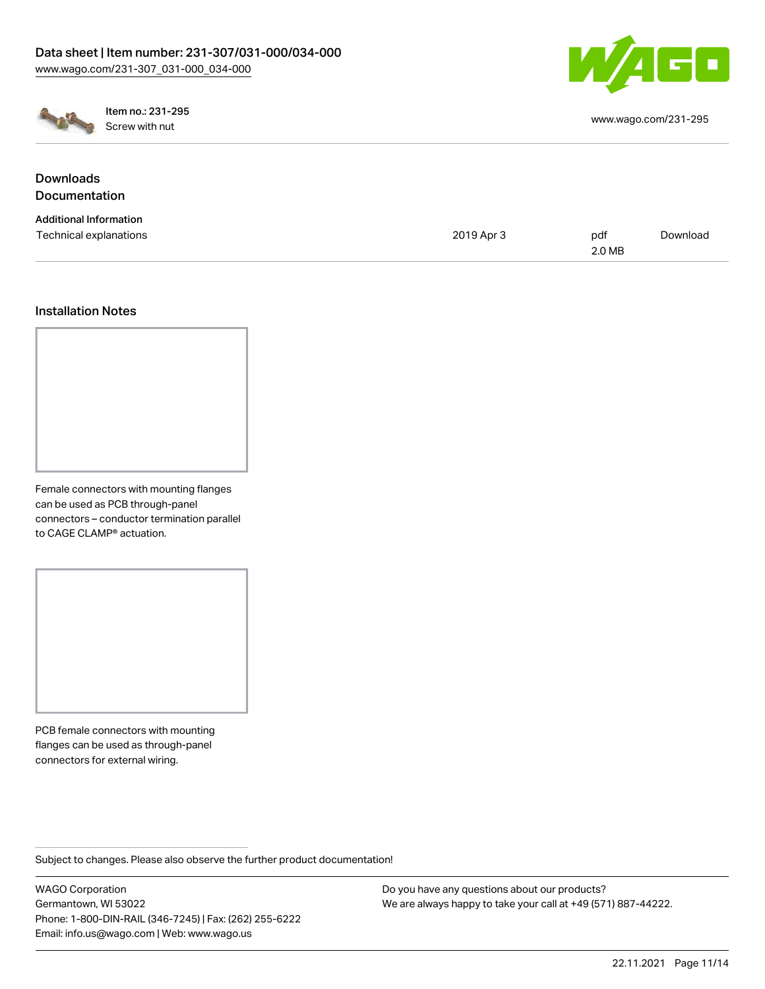



Item no.: 231-295 Screw with nut [www.wago.com/231-295](http://www.wago.com/231-295)

| www.wago.com/231-295 |  |  |  |
|----------------------|--|--|--|
|----------------------|--|--|--|

### **Downloads Documentation** Additional Information Technical explanations and the control of the control of the control of the control of the control of the control of the control of the control of the control of the control of the control of the control of the control of 2.0 MB [Download](https://www.wago.com/global/d/1435602)

# Installation Notes

Female connectors with mounting flanges can be used as PCB through-panel connectors – conductor termination parallel to CAGE CLAMP® actuation.

PCB female connectors with mounting flanges can be used as through-panel connectors for external wiring.

Subject to changes. Please also observe the further product documentation!

WAGO Corporation Germantown, WI 53022 Phone: 1-800-DIN-RAIL (346-7245) | Fax: (262) 255-6222 Email: info.us@wago.com | Web: www.wago.us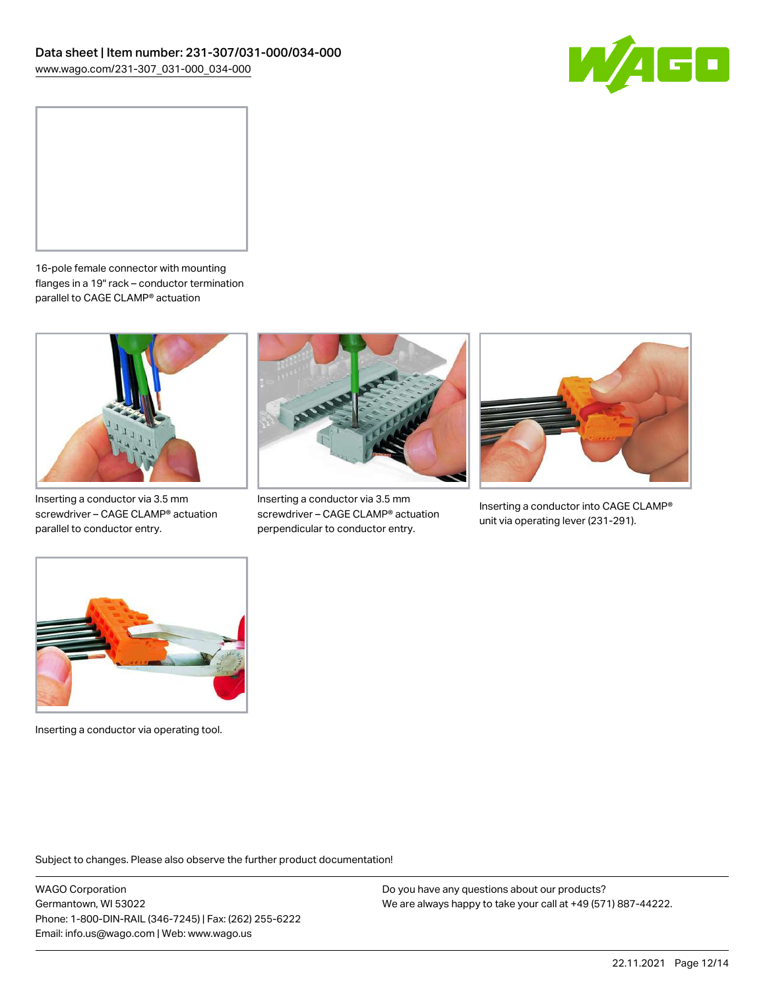



16-pole female connector with mounting flanges in a 19" rack – conductor termination parallel to CAGE CLAMP® actuation



Inserting a conductor via 3.5 mm screwdriver – CAGE CLAMP® actuation parallel to conductor entry.



Inserting a conductor via 3.5 mm screwdriver – CAGE CLAMP® actuation perpendicular to conductor entry.



Inserting a conductor into CAGE CLAMP® unit via operating lever (231-291).



Inserting a conductor via operating tool.

Subject to changes. Please also observe the further product documentation!

WAGO Corporation Germantown, WI 53022 Phone: 1-800-DIN-RAIL (346-7245) | Fax: (262) 255-6222 Email: info.us@wago.com | Web: www.wago.us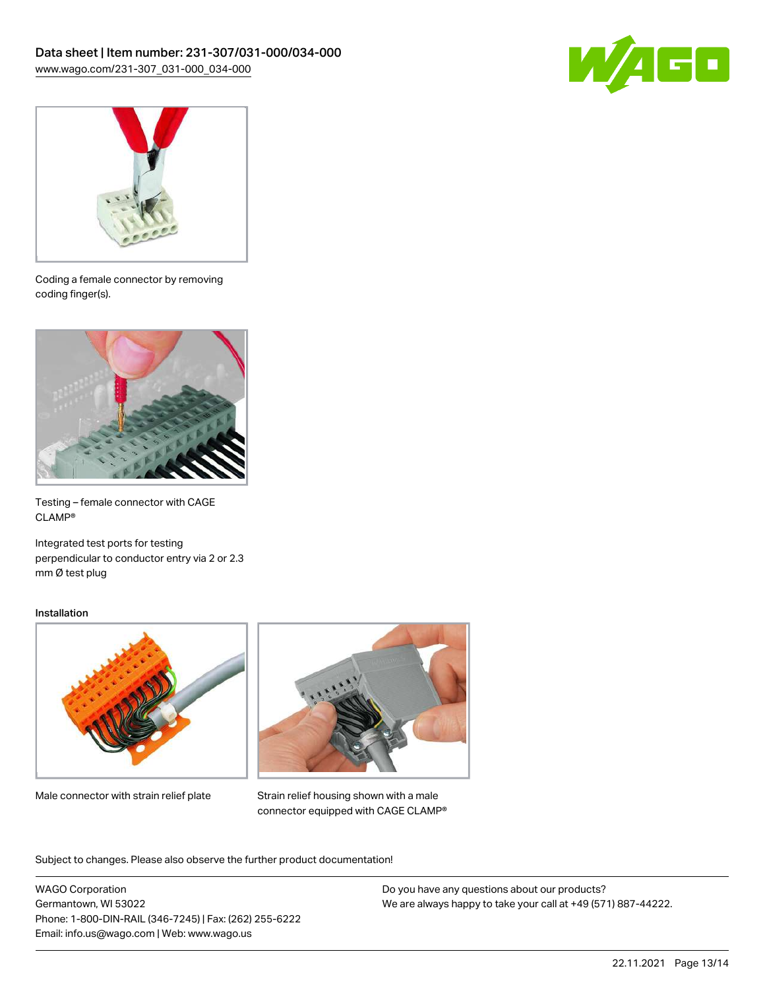



Coding a female connector by removing coding finger(s).



Testing – female connector with CAGE CLAMP®

Integrated test ports for testing perpendicular to conductor entry via 2 or 2.3 mm Ø test plug

#### Installation



Male connector with strain relief plate



Strain relief housing shown with a male connector equipped with CAGE CLAMP®

Subject to changes. Please also observe the further product documentation!

WAGO Corporation Germantown, WI 53022 Phone: 1-800-DIN-RAIL (346-7245) | Fax: (262) 255-6222 Email: info.us@wago.com | Web: www.wago.us